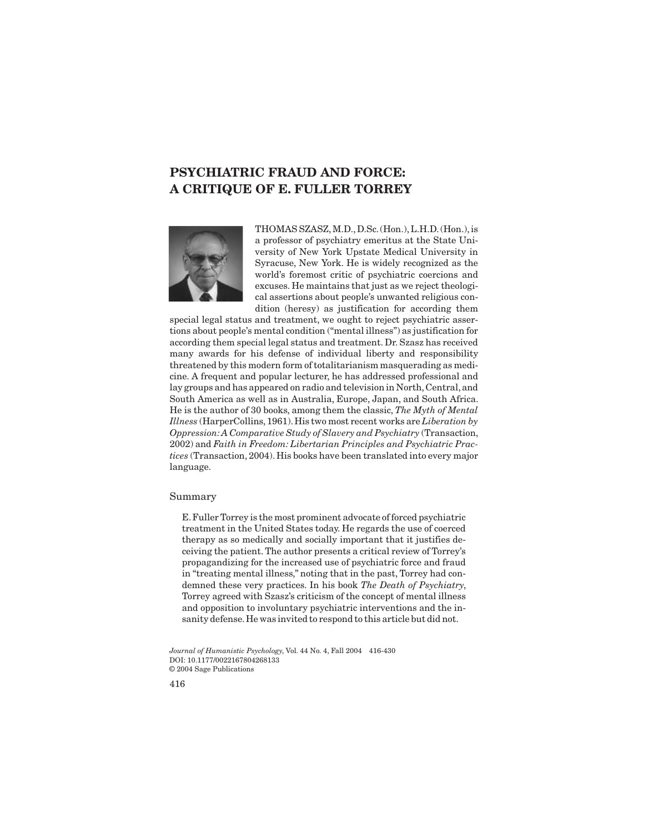# **PSYCHIATRIC FRAUD AND FORCE: A CRITIQUE OF E. FULLER TORREY**



THOMAS SZASZ,M.D.,D.Sc.(Hon.), L.H.D.(Hon.), is a professor of psychiatry emeritus at the State University of New York Upstate Medical University in Syracuse, New York. He is widely recognized as the world's foremost critic of psychiatric coercions and excuses. He maintains that just as we reject theological assertions about people's unwanted religious condition (heresy) as justification for according them

special legal status and treatment, we ought to reject psychiatric assertions about people's mental condition ("mental illness") as justification for according them special legal status and treatment. Dr. Szasz has received many awards for his defense of individual liberty and responsibility threatened by this modern form of totalitarianism masquerading as medicine. A frequent and popular lecturer, he has addressed professional and lay groups and has appeared on radio and television in North, Central, and South America as well as in Australia, Europe, Japan, and South Africa. He is the author of 30 books, among them the classic, *The Myth of Mental Illness* (HarperCollins, 1961).His two most recent works are *Liberation by Oppression: A Comparative Study of Slavery and Psychiatry* (Transaction, 2002) and *Faith in Freedom: Libertarian Principles and Psychiatric Practices* (Transaction, 2004). His books have been translated into every major language.

Summary

E.Fuller Torrey is the most prominent advocate of forced psychiatric treatment in the United States today. He regards the use of coerced therapy as so medically and socially important that it justifies deceiving the patient. The author presents a critical review of Torrey's propagandizing for the increased use of psychiatric force and fraud in "treating mental illness," noting that in the past, Torrey had condemned these very practices. In his book *The Death of Psychiatry*, Torrey agreed with Szasz's criticism of the concept of mental illness and opposition to involuntary psychiatric interventions and the insanity defense.He was invited to respond to this article but did not.

*Journal of Humanistic Psychology*, Vol. 44 No. 4, Fall 2004 416-430 DOI: 10.1177/0022167804268133 © 2004 Sage Publications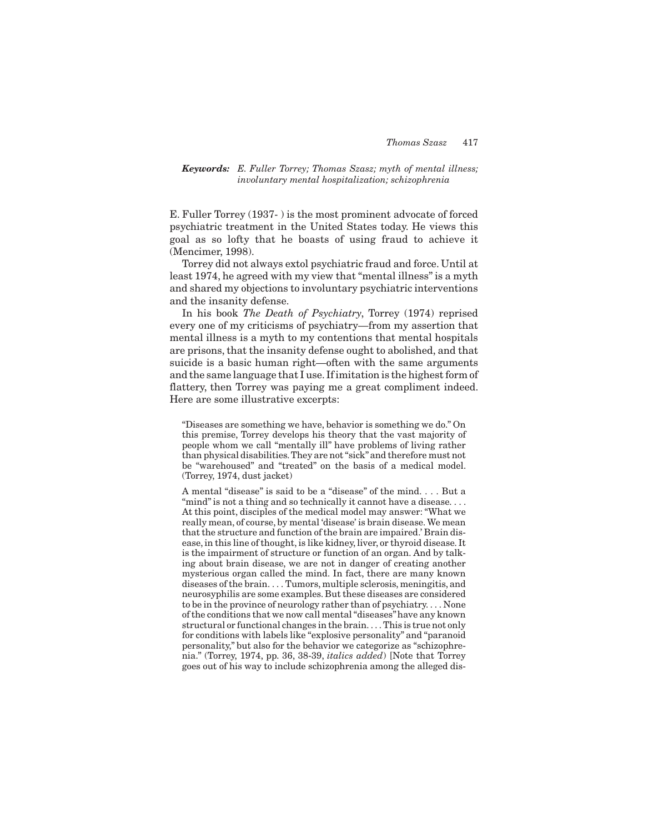## *Keywords: E. Fuller Torrey; Thomas Szasz; myth of mental illness; involuntary mental hospitalization; schizophrenia*

E. Fuller Torrey (1937- ) is the most prominent advocate of forced psychiatric treatment in the United States today. He views this goal as so lofty that he boasts of using fraud to achieve it (Mencimer, 1998).

Torrey did not always extol psychiatric fraud and force. Until at least 1974, he agreed with my view that "mental illness" is a myth and shared my objections to involuntary psychiatric interventions and the insanity defense.

In his book *The Death of Psychiatry*, Torrey (1974) reprised every one of my criticisms of psychiatry—from my assertion that mental illness is a myth to my contentions that mental hospitals are prisons, that the insanity defense ought to abolished, and that suicide is a basic human right—often with the same arguments and the same language that I use.If imitation is the highest form of flattery, then Torrey was paying me a great compliment indeed. Here are some illustrative excerpts:

"Diseases are something we have, behavior is something we do." On this premise, Torrey develops his theory that the vast majority of people whom we call "mentally ill" have problems of living rather than physical disabilities.They are not "sick"and therefore must not be "warehoused" and "treated" on the basis of a medical model. (Torrey, 1974, dust jacket)

A mental "disease" is said to be a "disease" of the mind. . . . But a "mind" is not a thing and so technically it cannot have a disease.... At this point, disciples of the medical model may answer: "What we really mean, of course, by mental 'disease' is brain disease. We mean that the structure and function of the brain are impaired.' Brain disease, in this line of thought, is like kidney, liver, or thyroid disease. It is the impairment of structure or function of an organ. And by talking about brain disease, we are not in danger of creating another mysterious organ called the mind. In fact, there are many known diseases of the brain. . . . Tumors, multiple sclerosis, meningitis, and neurosyphilis are some examples. But these diseases are considered to be in the province of neurology rather than of psychiatry.... None of the conditions that we now call mental "diseases"have any known structural or functional changes in the brain. . . . This is true not only for conditions with labels like "explosive personality" and "paranoid personality," but also for the behavior we categorize as "schizophrenia." (Torrey, 1974, pp. 36, 38-39, *italics added*) [Note that Torrey goes out of his way to include schizophrenia among the alleged dis-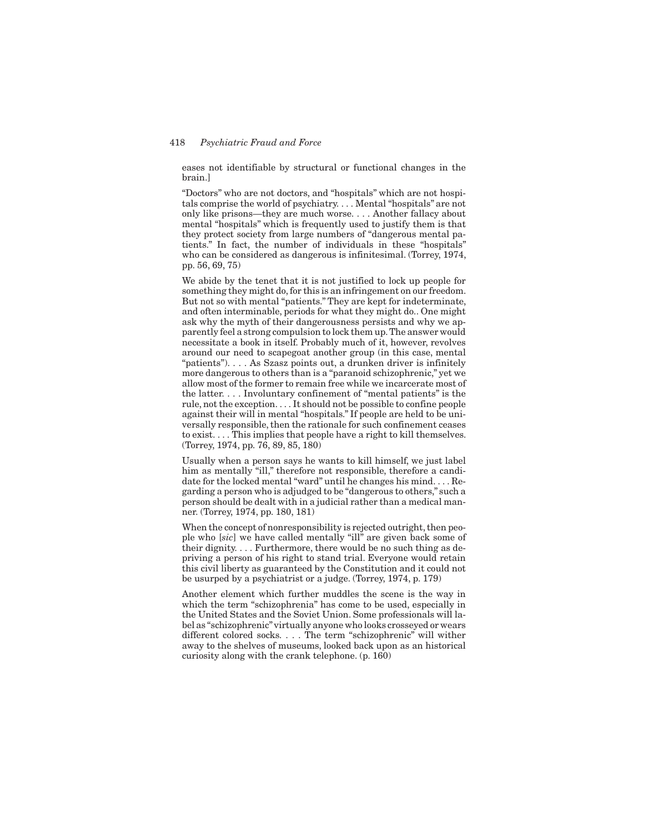eases not identifiable by structural or functional changes in the brain.]

"Doctors" who are not doctors, and "hospitals" which are not hospitals comprise the world of psychiatry.... Mental "hospitals" are not only like prisons—they are much worse.... Another fallacy about mental "hospitals" which is frequently used to justify them is that they protect society from large numbers of "dangerous mental patients." In fact, the number of individuals in these "hospitals" who can be considered as dangerous is infinitesimal. (Torrey, 1974, pp. 56, 69, 75)

We abide by the tenet that it is not justified to lock up people for something they might do, for this is an infringement on our freedom. But not so with mental "patients." They are kept for indeterminate, and often interminable, periods for what they might do.. One might ask why the myth of their dangerousness persists and why we apparently feel a strong compulsion to lock them up.The answer would necessitate a book in itself. Probably much of it, however, revolves around our need to scapegoat another group (in this case, mental "patients"). . . . As Szasz points out, a drunken driver is infinitely more dangerous to others than is a "paranoid schizophrenic," yet we allow most of the former to remain free while we incarcerate most of the latter.... Involuntary confinement of "mental patients" is the rule, not the exception. . . . It should not be possible to confine people against their will in mental "hospitals." If people are held to be universally responsible, then the rationale for such confinement ceases to exist. . . . This implies that people have a right to kill themselves. (Torrey, 1974, pp. 76, 89, 85, 180)

Usually when a person says he wants to kill himself, we just label him as mentally "ill," therefore not responsible, therefore a candidate for the locked mental "ward" until he changes his mind. . . . Regarding a person who is adjudged to be "dangerous to others," such a person should be dealt with in a judicial rather than a medical manner. (Torrey, 1974, pp. 180, 181)

When the concept of nonresponsibility is rejected outright, then people who [*sic*] we have called mentally "ill" are given back some of their dignity.... Furthermore, there would be no such thing as depriving a person of his right to stand trial. Everyone would retain this civil liberty as guaranteed by the Constitution and it could not be usurped by a psychiatrist or a judge. (Torrey, 1974, p. 179)

Another element which further muddles the scene is the way in which the term "schizophrenia" has come to be used, especially in the United States and the Soviet Union. Some professionals will label as "schizophrenic"virtually anyone who looks crosseyed or wears different colored socks. . . . The term "schizophrenic" will wither away to the shelves of museums, looked back upon as an historical curiosity along with the crank telephone. (p. 160)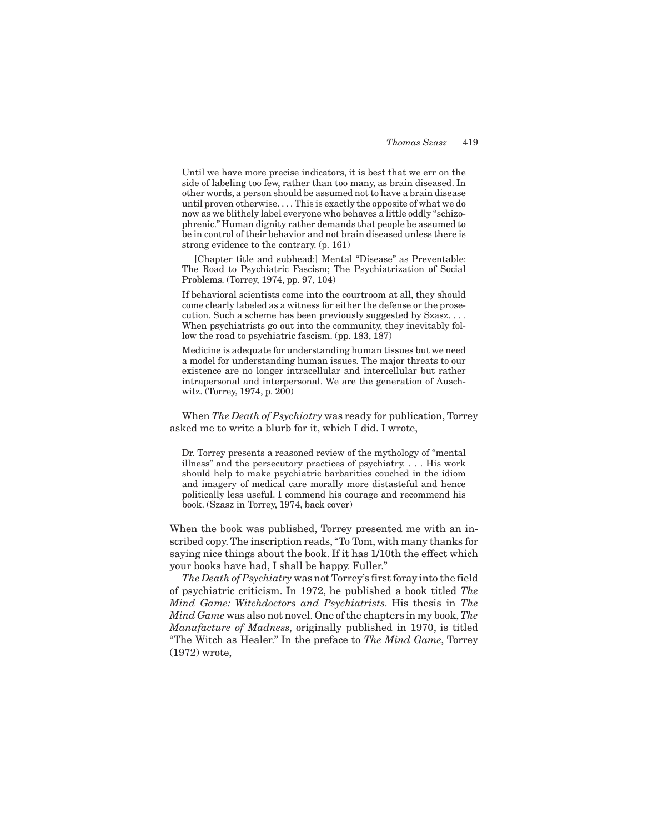Until we have more precise indicators, it is best that we err on the side of labeling too few, rather than too many, as brain diseased. In other words, a person should be assumed not to have a brain disease until proven otherwise.... This is exactly the opposite of what we do now as we blithely label everyone who behaves a little oddly "schizophrenic." Human dignity rather demands that people be assumed to be in control of their behavior and not brain diseased unless there is strong evidence to the contrary. (p. 161)

[Chapter title and subhead:] Mental "Disease" as Preventable: The Road to Psychiatric Fascism; The Psychiatrization of Social Problems. (Torrey, 1974, pp. 97, 104)

If behavioral scientists come into the courtroom at all, they should come clearly labeled as a witness for either the defense or the prosecution. Such a scheme has been previously suggested by Szasz. . . . When psychiatrists go out into the community, they inevitably follow the road to psychiatric fascism. (pp. 183, 187)

Medicine is adequate for understanding human tissues but we need a model for understanding human issues. The major threats to our existence are no longer intracellular and intercellular but rather intrapersonal and interpersonal. We are the generation of Auschwitz. (Torrey, 1974, p. 200)

When *The Death of Psychiatry* was ready for publication, Torrey asked me to write a blurb for it, which I did. I wrote,

Dr. Torrey presents a reasoned review of the mythology of "mental illness" and the persecutory practices of psychiatry. . . . His work should help to make psychiatric barbarities couched in the idiom and imagery of medical care morally more distasteful and hence politically less useful. I commend his courage and recommend his book. (Szasz in Torrey, 1974, back cover)

When the book was published, Torrey presented me with an inscribed copy. The inscription reads, "To Tom, with many thanks for saying nice things about the book. If it has 1/10th the effect which your books have had, I shall be happy. Fuller."

*The Death of Psychiatry* was not Torrey's first foray into the field of psychiatric criticism. In 1972, he published a book titled *The Mind Game: Witchdoctors and Psychiatrists*. His thesis in *The Mind Game* was also not novel. One of the chapters in my book,*The Manufacture of Madness*, originally published in 1970, is titled "The Witch as Healer." In the preface to *The Mind Game*, Torrey (1972) wrote,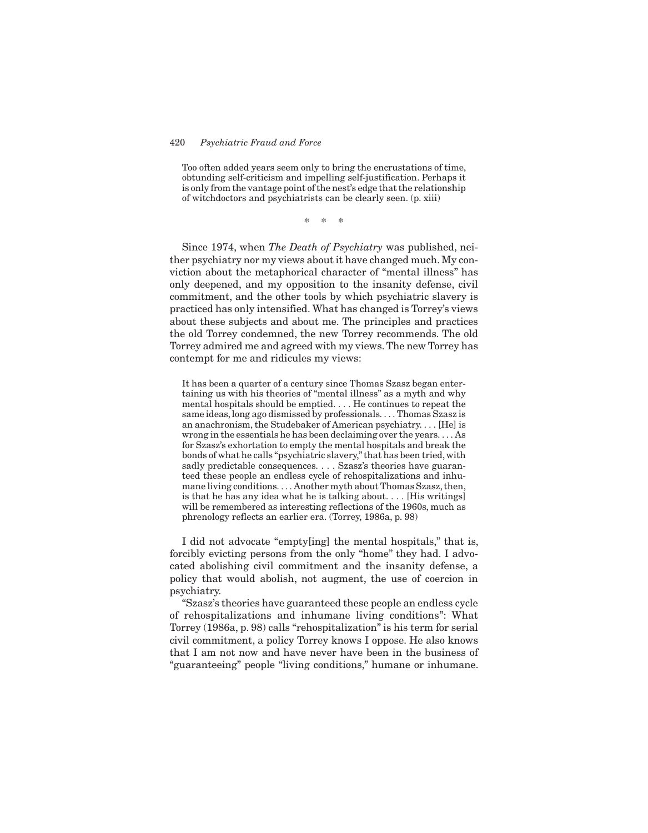Too often added years seem only to bring the encrustations of time, obtunding self-criticism and impelling self-justification. Perhaps it is only from the vantage point of the nest's edge that the relationship of witchdoctors and psychiatrists can be clearly seen. (p. xiii)

\*\*\*

Since 1974, when *The Death of Psychiatry* was published, neither psychiatry nor my views about it have changed much. My conviction about the metaphorical character of "mental illness" has only deepened, and my opposition to the insanity defense, civil commitment, and the other tools by which psychiatric slavery is practiced has only intensified. What has changed is Torrey's views about these subjects and about me. The principles and practices the old Torrey condemned, the new Torrey recommends. The old Torrey admired me and agreed with my views. The new Torrey has contempt for me and ridicules my views:

It has been a quarter of a century since Thomas Szasz began entertaining us with his theories of "mental illness" as a myth and why mental hospitals should be emptied. . . . He continues to repeat the same ideas, long ago dismissed by professionals.... Thomas Szasz is an anachronism, the Studebaker of American psychiatry. . . . [He] is wrong in the essentials he has been declaiming over the years. . . . As for Szasz's exhortation to empty the mental hospitals and break the bonds of what he calls "psychiatric slavery," that has been tried, with sadly predictable consequences.... Szasz's theories have guaranteed these people an endless cycle of rehospitalizations and inhumane living conditions.... Another myth about Thomas Szasz, then, is that he has any idea what he is talking about.... [His writings] will be remembered as interesting reflections of the 1960s, much as phrenology reflects an earlier era. (Torrey, 1986a, p. 98)

I did not advocate "empty[ing] the mental hospitals," that is, forcibly evicting persons from the only "home" they had. I advocated abolishing civil commitment and the insanity defense, a policy that would abolish, not augment, the use of coercion in psychiatry.

"Szasz's theories have guaranteed these people an endless cycle of rehospitalizations and inhumane living conditions": What Torrey (1986a, p. 98) calls "rehospitalization" is his term for serial civil commitment, a policy Torrey knows I oppose. He also knows that I am not now and have never have been in the business of "guaranteeing" people "living conditions," humane or inhumane.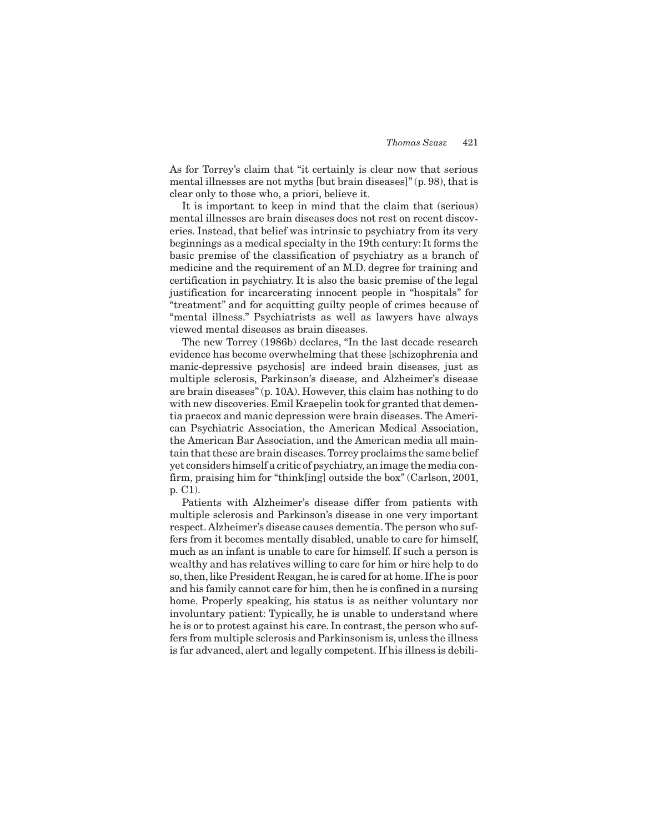As for Torrey's claim that "it certainly is clear now that serious mental illnesses are not myths [but brain diseases]" (p. 98), that is clear only to those who, a priori, believe it.

It is important to keep in mind that the claim that (serious) mental illnesses are brain diseases does not rest on recent discoveries. Instead, that belief was intrinsic to psychiatry from its very beginnings as a medical specialty in the 19th century: It forms the basic premise of the classification of psychiatry as a branch of medicine and the requirement of an M.D. degree for training and certification in psychiatry. It is also the basic premise of the legal justification for incarcerating innocent people in "hospitals" for "treatment" and for acquitting guilty people of crimes because of "mental illness." Psychiatrists as well as lawyers have always viewed mental diseases as brain diseases.

The new Torrey (1986b) declares, "In the last decade research evidence has become overwhelming that these [schizophrenia and manic-depressive psychosis] are indeed brain diseases, just as multiple sclerosis, Parkinson's disease, and Alzheimer's disease are brain diseases" (p. 10A). However, this claim has nothing to do with new discoveries. Emil Kraepelin took for granted that dementia praecox and manic depression were brain diseases. The American Psychiatric Association, the American Medical Association, the American Bar Association, and the American media all maintain that these are brain diseases.Torrey proclaims the same belief yet considers himself a critic of psychiatry,an image the media confirm, praising him for "think[ing] outside the box" (Carlson, 2001, p. C1).

Patients with Alzheimer's disease differ from patients with multiple sclerosis and Parkinson's disease in one very important respect. Alzheimer's disease causes dementia. The person who suffers from it becomes mentally disabled, unable to care for himself, much as an infant is unable to care for himself. If such a person is wealthy and has relatives willing to care for him or hire help to do so, then, like President Reagan, he is cared for at home. If he is poor and his family cannot care for him, then he is confined in a nursing home. Properly speaking, his status is as neither voluntary nor involuntary patient: Typically, he is unable to understand where he is or to protest against his care. In contrast, the person who suffers from multiple sclerosis and Parkinsonism is, unless the illness is far advanced, alert and legally competent. If his illness is debili-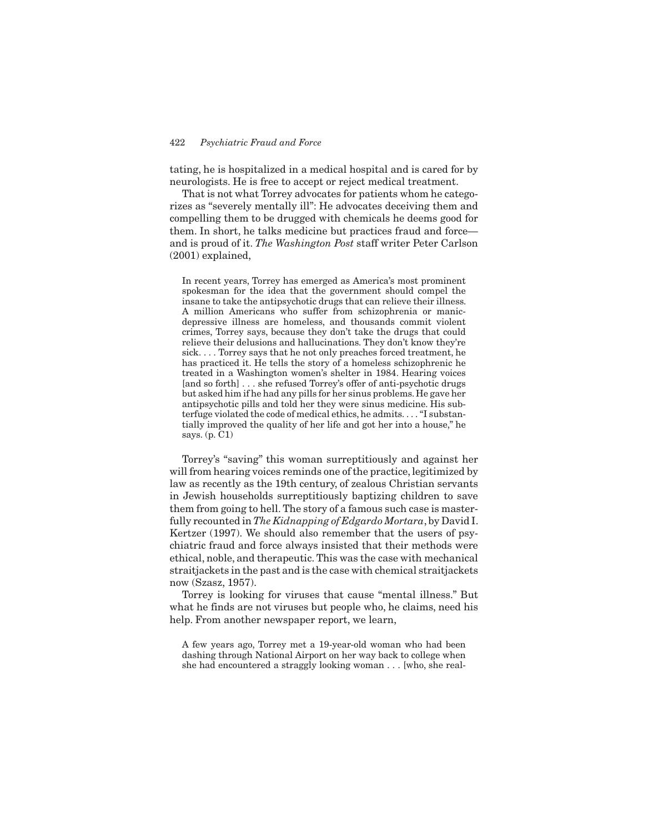tating, he is hospitalized in a medical hospital and is cared for by neurologists. He is free to accept or reject medical treatment.

That is not what Torrey advocates for patients whom he categorizes as "severely mentally ill": He advocates deceiving them and compelling them to be drugged with chemicals he deems good for them. In short, he talks medicine but practices fraud and force and is proud of it. *The Washington Post* staff writer Peter Carlson (2001) explained,

In recent years, Torrey has emerged as America's most prominent spokesman for the idea that the government should compel the insane to take the antipsychotic drugs that can relieve their illness. A million Americans who suffer from schizophrenia or manicdepressive illness are homeless, and thousands commit violent crimes, Torrey says, because they don't take the drugs that could relieve their delusions and hallucinations. They don't know they're sick. . . . Torrey says that he not only preaches forced treatment, he has practiced it. He tells the story of a homeless schizophrenic he treated in a Washington women's shelter in 1984. Hearing voices [and so forth] . . . she refused Torrey's offer of anti-psychotic drugs but asked him if he had any pills for her sinus problems. He gave her antipsychotic pills and told her they were sinus medicine. His subterfuge violated the code of medical ethics, he admits. . . . "I substantially improved the quality of her life and got her into a house," he says. (p. C1)

Torrey's "saving" this woman surreptitiously and against her will from hearing voices reminds one of the practice, legitimized by law as recently as the 19th century, of zealous Christian servants in Jewish households surreptitiously baptizing children to save them from going to hell. The story of a famous such case is masterfully recounted in *The Kidnapping of Edgardo Mortara*,by David I. Kertzer (1997). We should also remember that the users of psychiatric fraud and force always insisted that their methods were ethical, noble, and therapeutic. This was the case with mechanical straitjackets in the past and is the case with chemical straitjackets now (Szasz, 1957).

Torrey is looking for viruses that cause "mental illness." But what he finds are not viruses but people who, he claims, need his help. From another newspaper report, we learn,

A few years ago, Torrey met a 19-year-old woman who had been dashing through National Airport on her way back to college when she had encountered a straggly looking woman . . . [who, she real-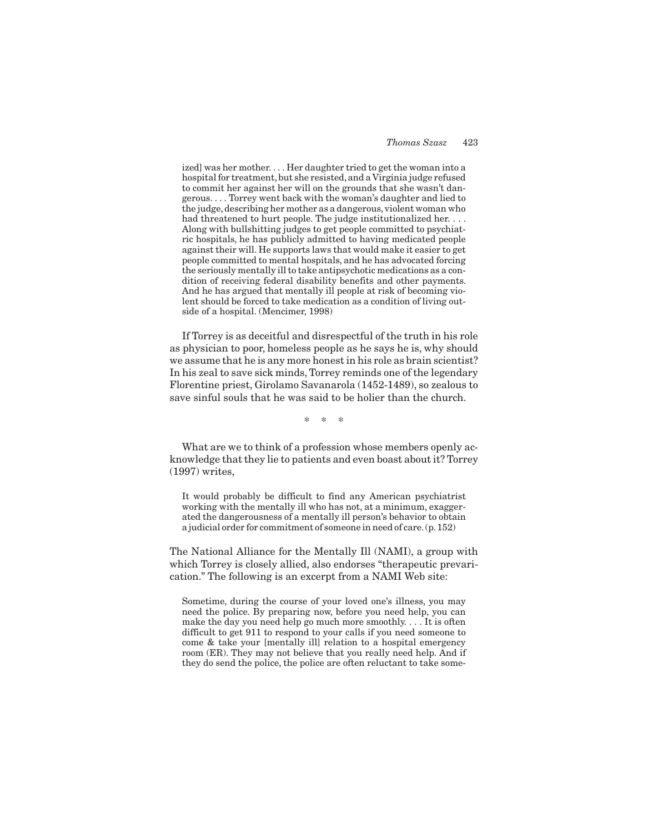#### *Thomas Szasz* 423

ized] was her mother. . . . Her daughter tried to get the woman into a hospital for treatment,but she resisted,and a Virginia judge refused to commit her against her will on the grounds that she wasn't dangerous....Torrey went back with the woman's daughter and lied to the judge, describing her mother as a dangerous, violent woman who had threatened to hurt people. The judge institutionalized her. . . . Along with bullshitting judges to get people committed to psychiatric hospitals, he has publicly admitted to having medicated people against their will. He supports laws that would make it easier to get people committed to mental hospitals, and he has advocated forcing the seriously mentally ill to take antipsychotic medications as a condition of receiving federal disability benefits and other payments. And he has argued that mentally ill people at risk of becoming violent should be forced to take medication as a condition of living outside of a hospital. (Mencimer, 1998)

If Torrey is as deceitful and disrespectful of the truth in his role as physician to poor, homeless people as he says he is, why should we assume that he is any more honest in his role as brain scientist? In his zeal to save sick minds, Torrey reminds one of the legendary Florentine priest, Girolamo Savanarola (1452-1489), so zealous to save sinful souls that he was said to be holier than the church.

 $*$ 

What are we to think of a profession whose members openly acknowledge that they lie to patients and even boast about it? Torrey (1997) writes,

It would probably be difficult to find any American psychiatrist working with the mentally ill who has not, at a minimum, exaggerated the dangerousness of a mentally ill person's behavior to obtain a judicial order for commitment of someone in need of care.(p.152)

The National Alliance for the Mentally Ill (NAMI), a group with which Torrey is closely allied, also endorses "therapeutic prevarication." The following is an excerpt from a NAMI Web site:

Sometime, during the course of your loved one's illness, you may need the police. By preparing now, before you need help, you can make the day you need help go much more smoothly. . . . It is often difficult to get 911 to respond to your calls if you need someone to come & take your [mentally ill] relation to a hospital emergency room (ER). They may not believe that you really need help. And if they do send the police, the police are often reluctant to take some-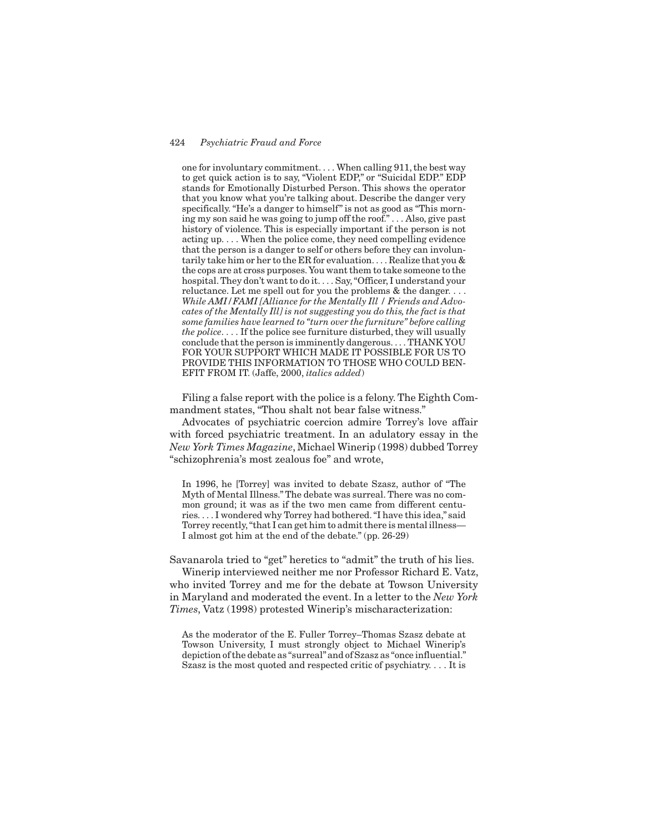one for involuntary commitment. . . . When calling 911, the best way to get quick action is to say, "Violent EDP," or "Suicidal EDP." EDP stands for Emotionally Disturbed Person. This shows the operator that you know what you're talking about. Describe the danger very specifically. "He's a danger to himself" is not as good as "This morning my son said he was going to jump off the roof." . . . Also, give past history of violence. This is especially important if the person is not acting up.... When the police come, they need compelling evidence that the person is a danger to self or others before they can involuntarily take him or her to the ER for evaluation. . . . Realize that you & the cops are at cross purposes. You want them to take someone to the hospital. They don't want to do it.... Say, "Officer, I understand your reluctance. Let me spell out for you the problems & the danger.... *While AMI/FAMI [Alliance for the Mentally Ill / Friends and Advocates of the Mentally Ill] is not suggesting you do this, the fact is that some families have learned to "turn over the furniture" before calling the police*. . . . If the police see furniture disturbed, they will usually conclude that the person is imminently dangerous.... THANK YOU FOR YOUR SUPPORT WHICH MADE IT POSSIBLE FOR US TO PROVIDE THIS INFORMATION TO THOSE WHO COULD BEN-EFIT FROM IT. (Jaffe, 2000, *italics added*)

Filing a false report with the police is a felony. The Eighth Commandment states, "Thou shalt not bear false witness."

Advocates of psychiatric coercion admire Torrey's love affair with forced psychiatric treatment. In an adulatory essay in the *New York Times Magazine*, Michael Winerip (1998) dubbed Torrey "schizophrenia's most zealous foe" and wrote,

In 1996, he [Torrey] was invited to debate Szasz, author of "The Myth of Mental Illness." The debate was surreal. There was no common ground; it was as if the two men came from different centuries....I wondered why Torrey had bothered. "I have this idea," said Torrey recently, "that I can get him to admit there is mental illness— I almost got him at the end of the debate." (pp. 26-29)

Savanarola tried to "get" heretics to "admit" the truth of his lies.

Winerip interviewed neither me nor Professor Richard E. Vatz, who invited Torrey and me for the debate at Towson University in Maryland and moderated the event. In a letter to the *New York Times*, Vatz (1998) protested Winerip's mischaracterization:

As the moderator of the E. Fuller Torrey–Thomas Szasz debate at Towson University, I must strongly object to Michael Winerip's depiction of the debate as "surreal"and of Szasz as "once influential." Szasz is the most quoted and respected critic of psychiatry. . . . It is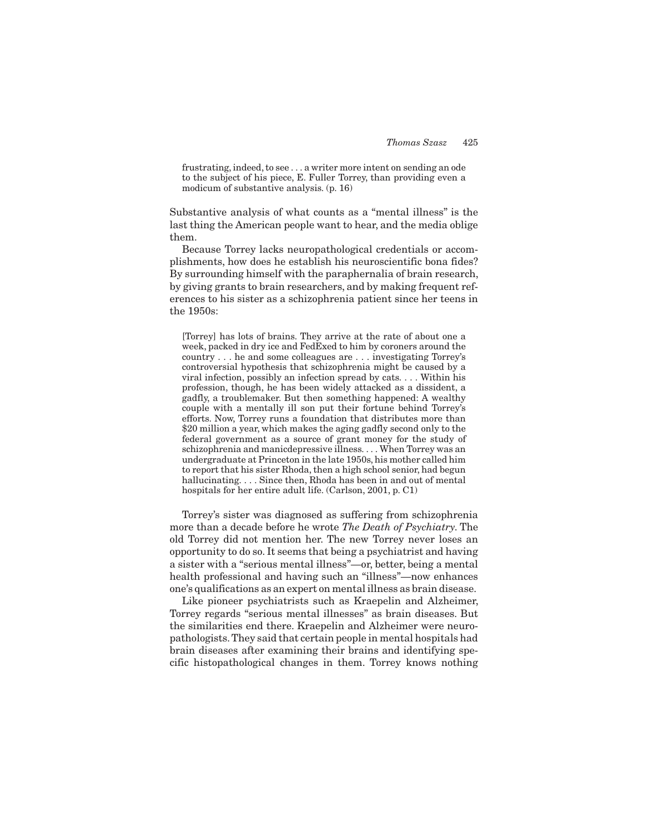frustrating, indeed, to see ...a writer more intent on sending an ode to the subject of his piece, E. Fuller Torrey, than providing even a modicum of substantive analysis. (p. 16)

Substantive analysis of what counts as a "mental illness" is the last thing the American people want to hear, and the media oblige them.

Because Torrey lacks neuropathological credentials or accomplishments, how does he establish his neuroscientific bona fides? By surrounding himself with the paraphernalia of brain research, by giving grants to brain researchers, and by making frequent references to his sister as a schizophrenia patient since her teens in the 1950s:

[Torrey] has lots of brains. They arrive at the rate of about one a week, packed in dry ice and FedExed to him by coroners around the country . . . he and some colleagues are . . . investigating Torrey's controversial hypothesis that schizophrenia might be caused by a viral infection, possibly an infection spread by cats....Within his profession, though, he has been widely attacked as a dissident, a gadfly, a troublemaker. But then something happened: A wealthy couple with a mentally ill son put their fortune behind Torrey's efforts. Now, Torrey runs a foundation that distributes more than \$20 million a year, which makes the aging gadfly second only to the federal government as a source of grant money for the study of schizophrenia and manicdepressive illness.... When Torrey was an undergraduate at Princeton in the late 1950s, his mother called him to report that his sister Rhoda, then a high school senior, had begun hallucinating.... Since then, Rhoda has been in and out of mental hospitals for her entire adult life. (Carlson, 2001, p. C1)

Torrey's sister was diagnosed as suffering from schizophrenia more than a decade before he wrote *The Death of Psychiatry*. The old Torrey did not mention her. The new Torrey never loses an opportunity to do so. It seems that being a psychiatrist and having a sister with a "serious mental illness"—or, better, being a mental health professional and having such an "illness"—now enhances one's qualifications as an expert on mental illness as brain disease.

Like pioneer psychiatrists such as Kraepelin and Alzheimer, Torrey regards "serious mental illnesses" as brain diseases. But the similarities end there. Kraepelin and Alzheimer were neuropathologists. They said that certain people in mental hospitals had brain diseases after examining their brains and identifying specific histopathological changes in them. Torrey knows nothing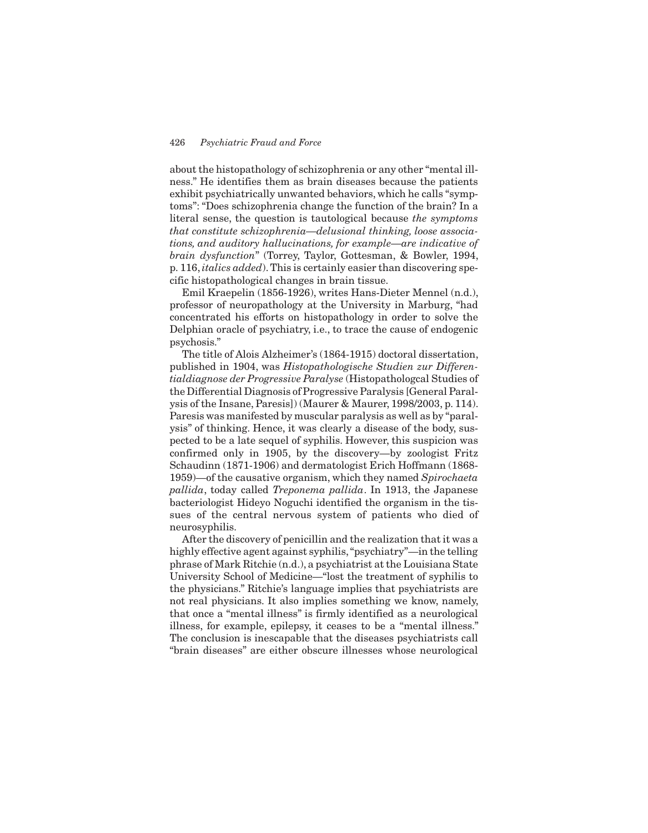about the histopathology of schizophrenia or any other "mental illness." He identifies them as brain diseases because the patients exhibit psychiatrically unwanted behaviors, which he calls "symptoms": "Does schizophrenia change the function of the brain? In a literal sense, the question is tautological because *the symptoms that constitute schizophrenia—delusional thinking, loose associations, and auditory hallucinations, for example—are indicative of brain dysfunction*" (Torrey, Taylor, Gottesman, & Bowler, 1994, p. 116,*italics added*). This is certainly easier than discovering specific histopathological changes in brain tissue.

Emil Kraepelin (1856-1926), writes Hans-Dieter Mennel (n.d.), professor of neuropathology at the University in Marburg, "had concentrated his efforts on histopathology in order to solve the Delphian oracle of psychiatry, i.e., to trace the cause of endogenic psychosis."

The title of Alois Alzheimer's (1864-1915) doctoral dissertation, published in 1904, was *Histopathologische Studien zur Differentialdiagnose der Progressive Paralyse* (Histopathologcal Studies of the Differential Diagnosis of Progressive Paralysis [General Paralysis of the Insane, Paresis]) (Maurer & Maurer, 1998/2003, p. 114). Paresis was manifested by muscular paralysis as well as by "paralysis" of thinking. Hence, it was clearly a disease of the body, suspected to be a late sequel of syphilis. However, this suspicion was confirmed only in 1905, by the discovery—by zoologist Fritz Schaudinn (1871-1906) and dermatologist Erich Hoffmann (1868- 1959)—of the causative organism, which they named *Spirochaeta pallida*, today called *Treponema pallida*. In 1913, the Japanese bacteriologist Hideyo Noguchi identified the organism in the tissues of the central nervous system of patients who died of neurosyphilis.

After the discovery of penicillin and the realization that it was a highly effective agent against syphilis, "psychiatry"—in the telling phrase of Mark Ritchie (n.d.), a psychiatrist at the Louisiana State University School of Medicine—"lost the treatment of syphilis to the physicians." Ritchie's language implies that psychiatrists are not real physicians. It also implies something we know, namely, that once a "mental illness" is firmly identified as a neurological illness, for example, epilepsy, it ceases to be a "mental illness." The conclusion is inescapable that the diseases psychiatrists call "brain diseases" are either obscure illnesses whose neurological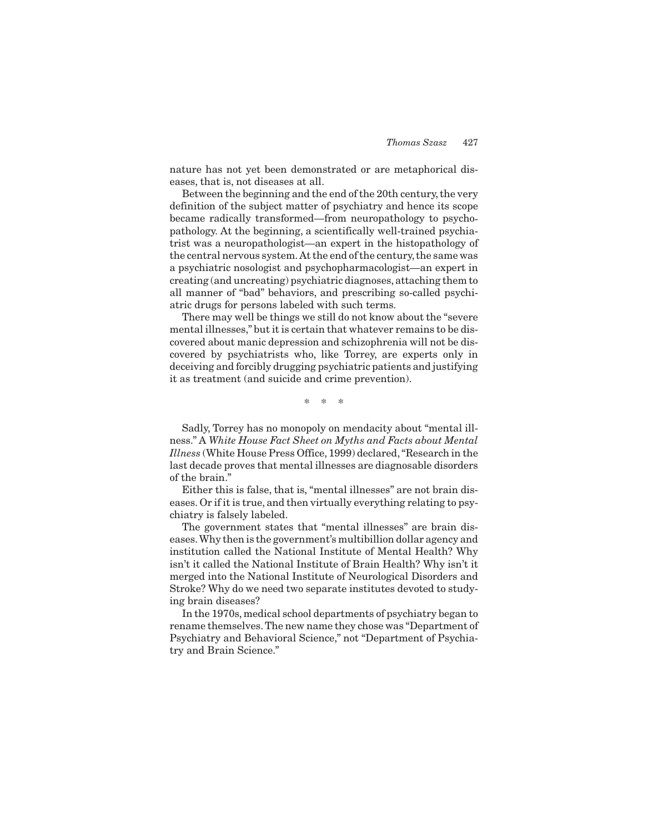nature has not yet been demonstrated or are metaphorical diseases, that is, not diseases at all.

Between the beginning and the end of the 20th century, the very definition of the subject matter of psychiatry and hence its scope became radically transformed—from neuropathology to psychopathology. At the beginning, a scientifically well-trained psychiatrist was a neuropathologist—an expert in the histopathology of the central nervous system. At the end of the century, the same was a psychiatric nosologist and psychopharmacologist—an expert in creating (and uncreating) psychiatric diagnoses,attaching them to all manner of "bad" behaviors, and prescribing so-called psychiatric drugs for persons labeled with such terms.

There may well be things we still do not know about the "severe mental illnesses," but it is certain that whatever remains to be discovered about manic depression and schizophrenia will not be discovered by psychiatrists who, like Torrey, are experts only in deceiving and forcibly drugging psychiatric patients and justifying it as treatment (and suicide and crime prevention).

\*\*\*

Sadly, Torrey has no monopoly on mendacity about "mental illness." A *White House Fact Sheet on Myths and Facts about Mental Illness* (White House Press Office, 1999) declared, "Research in the last decade proves that mental illnesses are diagnosable disorders of the brain."

Either this is false, that is, "mental illnesses" are not brain diseases. Or if it is true, and then virtually everything relating to psychiatry is falsely labeled.

The government states that "mental illnesses" are brain diseases.Why then is the government's multibillion dollar agency and institution called the National Institute of Mental Health? Why isn't it called the National Institute of Brain Health? Why isn't it merged into the National Institute of Neurological Disorders and Stroke? Why do we need two separate institutes devoted to studying brain diseases?

In the 1970s, medical school departments of psychiatry began to rename themselves. The new name they chose was "Department of Psychiatry and Behavioral Science," not "Department of Psychiatry and Brain Science."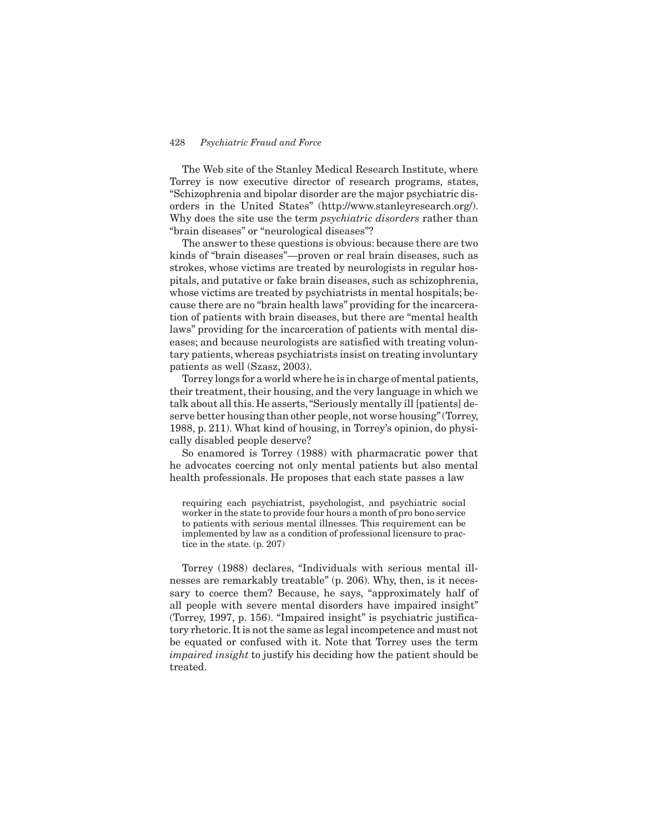The Web site of the Stanley Medical Research Institute, where Torrey is now executive director of research programs, states, "Schizophrenia and bipolar disorder are the major psychiatric disorders in the United States" (http://www.stanleyresearch.org/). Why does the site use the term *psychiatric disorders* rather than "brain diseases" or "neurological diseases"?

The answer to these questions is obvious: because there are two kinds of "brain diseases"—proven or real brain diseases, such as strokes, whose victims are treated by neurologists in regular hospitals, and putative or fake brain diseases, such as schizophrenia, whose victims are treated by psychiatrists in mental hospitals; because there are no "brain health laws" providing for the incarceration of patients with brain diseases, but there are "mental health laws" providing for the incarceration of patients with mental diseases; and because neurologists are satisfied with treating voluntary patients, whereas psychiatrists insist on treating involuntary patients as well (Szasz, 2003).

Torrey longs for a world where he is in charge of mental patients, their treatment, their housing, and the very language in which we talk about all this. He asserts, "Seriously mentally ill [patients] deserve better housing than other people, not worse housing" (Torrey, 1988, p. 211). What kind of housing, in Torrey's opinion, do physically disabled people deserve?

So enamored is Torrey (1988) with pharmacratic power that he advocates coercing not only mental patients but also mental health professionals. He proposes that each state passes a law

requiring each psychiatrist, psychologist, and psychiatric social worker in the state to provide four hours a month of pro bono service to patients with serious mental illnesses. This requirement can be implemented by law as a condition of professional licensure to practice in the state. (p. 207)

Torrey (1988) declares, "Individuals with serious mental illnesses are remarkably treatable" (p. 206). Why, then, is it necessary to coerce them? Because, he says, "approximately half of all people with severe mental disorders have impaired insight" (Torrey, 1997, p. 156). "Impaired insight" is psychiatric justificatory rhetoric.It is not the same as legal incompetence and must not be equated or confused with it. Note that Torrey uses the term *impaired insight* to justify his deciding how the patient should be treated.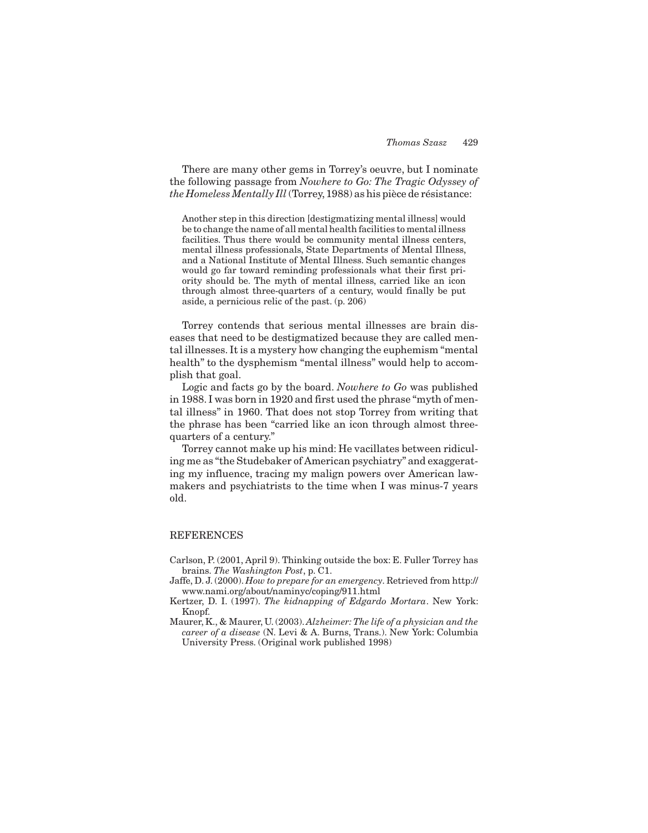There are many other gems in Torrey's oeuvre, but I nominate the following passage from *Nowhere to Go: The Tragic Odyssey of the Homeless Mentally Ill* (Torrey,1988) as his pièce de résistance:

Another step in this direction [destigmatizing mental illness] would be to change the name of all mental health facilities to mental illness facilities. Thus there would be community mental illness centers, mental illness professionals, State Departments of Mental Illness, and a National Institute of Mental Illness. Such semantic changes would go far toward reminding professionals what their first priority should be. The myth of mental illness, carried like an icon through almost three-quarters of a century, would finally be put aside, a pernicious relic of the past. (p. 206)

Torrey contends that serious mental illnesses are brain diseases that need to be destigmatized because they are called mental illnesses. It is a mystery how changing the euphemism "mental health" to the dysphemism "mental illness" would help to accomplish that goal.

Logic and facts go by the board. *Nowhere to Go* was published in 1988. I was born in 1920 and first used the phrase "myth of mental illness" in 1960. That does not stop Torrey from writing that the phrase has been "carried like an icon through almost threequarters of a century."

Torrey cannot make up his mind: He vacillates between ridiculing me as "the Studebaker of American psychiatry" and exaggerating my influence, tracing my malign powers over American lawmakers and psychiatrists to the time when I was minus-7 years old.

# REFERENCES

Carlson, P. (2001, April 9). Thinking outside the box: E. Fuller Torrey has brains. *The Washington Post*, p. C1.

Jaffe, D. J. (2000). *How to prepare for an emergency*. Retrieved from http:// www.nami.org/about/naminyc/coping/911.html

- Kertzer, D. I. (1997). *The kidnapping of Edgardo Mortara*. New York: Knopf.
- Maurer, K., & Maurer, U. (2003). *Alzheimer: The life of a physician and the career of a disease* (N. Levi & A. Burns, Trans.). New York: Columbia University Press. (Original work published 1998)